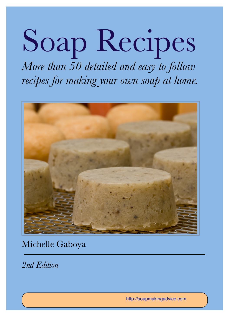# Soap Recipes *More than 50 detailed and easy to follow*

*recipes for making your own soap at home.*



Michelle Gaboya

*2nd Edition*

<http://soapmakingadvice.com>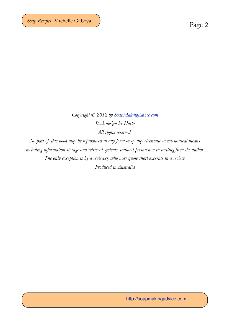*Copyright © 2012 by [SoapMakingAdvice.com](http://soapmakingadvice.com) Book design by Horto All rights reserved.*

*No part of this book may be reproduced in any form or by any electronic or mechanical means including information storage and retrieval systems, without permission in writing from the author. The only exception is by a reviewer, who may quote short excerpts in a review.*

*Produced in Australia*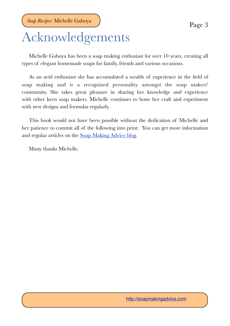## Acknowledgements

Michelle Gaboya has been a soap making enthusiast for over 10 years, creating all types of elegant homemade soaps for family, friends and various occasions.

As an avid enthusiast she has accumulated a wealth of experience in the field of soap making and is a recognized personality amongst the soap makers' community. She takes great pleasure in sharing her knowledge and experience with other keen soap makers. Michelle continues to hone her craft and experiment with new designs and formulas regularly.

This book would not have been possible without the dedication of Michelle and her patience to commit all of the following into print. You can get more information and regular articles on the [Soap Making Advice blog](http://soapmakingadvice.com/additional-articles).

Many thanks Michelle.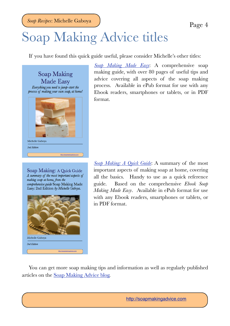# Soap Making Advice titles

If you have found this quick guide useful, please consider Michelle's other titles:

Soap Making Made Easy Everything you need to jump-start the process of making your own soap, at home! Michelle Gabova 2nd Edition http://spapmakingadvice.com

Soap Making: A Quick Guide A summary of the most important aspects of making soap at home, from the comprehensive guide Soap Making Made Easy: 2nd Edition by Michelle Gaboya.



*[Soap Making Made Easy](http://soapmakingadvice.com)*: A comprehensive soap making guide, with over 80 pages of useful tips and advice covering all aspects of the soap making process. Available in ePub format for use with any Ebook readers, smartphones or tablets, or in PDF format.

*[Soap Making: A Quick Guide](http://soapmakingadvice.com)*: A summary of the most important aspects of making soap at home, covering all the basics. Handy to use as a quick reference guide. Based on the comprehensive *Ebook Soap Making Made Easy*. Available in ePub format for use with any Ebook readers, smartphones or tablets, or in PDF format.

You can get more soap making tips and information as well as regularly published articles on the [Soap Making Advice blog.](http://soapmakingadvice.com/additional-articles)

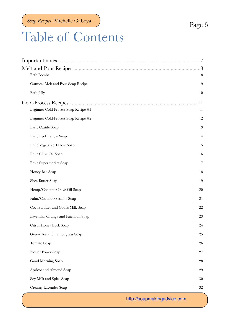## Table of Contents

|                                      | 8.     |
|--------------------------------------|--------|
| <b>Bath Bombs</b>                    | 8      |
| Oatmeal Melt and Pour Soap Recipe    | 9      |
| <b>Bath Jelly</b>                    | 10     |
|                                      | 11     |
| Beginner Cold-Process Soap Recipe #1 | 11     |
| Beginner Cold-Process Soap Recipe #2 | 12     |
| <b>Basic Castile Soap</b>            | 13     |
| <b>Basic Beef Tallow Soap</b>        | 14     |
| <b>Basic Vegetable Tallow Soap</b>   | 15     |
| Basic Olive Oil Soap                 | 16     |
| Basic Supermarket Soap               | 17     |
| Honey Bee Soap                       | 18     |
| Shea Butter Soap                     | 19     |
| Hemp/Coconut/Olive Oil Soap          | 20     |
| Palm/Coconut/Sesame Soap             | 21     |
| Cocoa Butter and Goat's Milk Soap    | 22     |
| Lavender, Orange and Patchouli Soap  | 23     |
| Citrus Honey Bock Soap               | 24     |
| Green Tea and Lemongrass Soap        | $25\,$ |
| Tomato Soap                          | 26     |
| Flower Power Soap                    | $27\,$ |
| Good Morning Soap                    | 28     |
| Apricot and Almond Soap              | 29     |
| Soy Milk and Spice Soap              | 30     |
| Creamy Lavender Soap                 | $32\,$ |

<http://soapmakingadvice.com>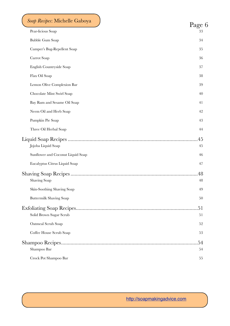| Soap Recipes: Michelle Gaboya<br>Pear-licious Soap | Page 6<br>33 |
|----------------------------------------------------|--------------|
| <b>Bubble Gum Soap</b>                             | 34           |
| Camper's Bug-Repellent Soap                        | 35           |
| Carrot Soap                                        | 36           |
| English Countryside Soap                           | 37           |
| Flax Oil Soap                                      | 38           |
| Lemon Olive Complexion Bar                         | 39           |
| Chocolate Mint Swirl Soap                          | 40           |
| Bay Rum and Sesame Oil Soap                        | 41           |
| Neem Oil and Herb Soap                             | 42           |
| Pumpkin Pie Soap                                   | 43           |
| Three Oil Herbal Soap                              | 44           |
| Jojoba Liquid Soap                                 | 45<br>45     |
| Sunflower and Coconut Liquid Soap                  | 46           |
| Eucalyptus Citrus Liquid Soap                      | 47           |
| <b>Shaving Soap</b>                                | 48<br>48     |
| Skin-Soothing Shaving Soap                         | 49           |
| <b>Buttermilk Shaving Soap</b>                     | 50           |
| Solid Brown Sugar Scrub                            | 51<br>51     |
| Oatmeal Scrub Soap                                 | 52           |
| Coffee House Scrub Soap                            | 53           |
| Shampoo Bar                                        | 54<br>54     |
| Crock Pot Shampoo Bar                              | 55           |
|                                                    |              |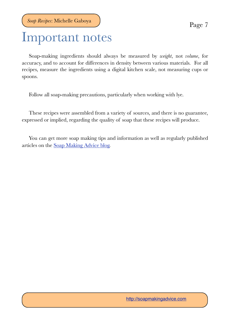## <span id="page-6-0"></span>Important notes

Soap-making ingredients should always be measured by *weight*, not *volume*, for accuracy, and to account for differences in density between various materials. For all recipes, measure the ingredients using a digital kitchen scale, not measuring cups or spoons.

Follow all soap-making precautions, particularly when working with lye.

These recipes were assembled from a variety of sources, and there is no guarantee, expressed or implied, regarding the quality of soap that these recipes will produce.

You can get more soap making tips and information as well as regularly published articles on the [Soap Making Advice blog.](http://soapmakingadvice.com/additional-articles)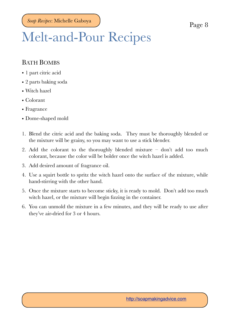## <span id="page-7-0"></span>Melt-and-Pour Recipes

#### <span id="page-7-1"></span>BATH BOMBS

- 1 part citric acid
- 2 parts baking soda
- Witch hazel
- Colorant
- Fragrance
- Dome-shaped mold
- 1. Blend the citric acid and the baking soda. They must be thoroughly blended or the mixture will be grainy, so you may want to use a stick blender.
- 2. Add the colorant to the thoroughly blended mixture don't add too much colorant, because the color will be bolder once the witch hazel is added.
- 3. Add desired amount of fragrance oil.
- 4. Use a squirt bottle to spritz the witch hazel onto the surface of the mixture, while hand-stirring with the other hand.
- 5. Once the mixture starts to become sticky, it is ready to mold. Don't add too much witch hazel, or the mixture will begin fizzing in the container.
- 6. You can unmold the mixture in a few minutes, and they will be ready to use after they've air-dried for 3 or 4 hours.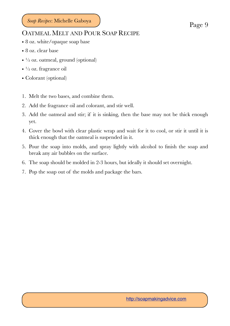#### <span id="page-8-0"></span>OATMEAL MELT AND POUR SOAP RECIPE

- 8 oz. white/opaque soap base
- 8 oz. clear base
- $\cdot$   $\frac{1}{2}$  oz. oatmeal, ground (optional)
- $\cdot$   $\frac{1}{2}$  oz. fragrance oil
- Colorant (optional)
- 1. Melt the two bases, and combine them.
- 2. Add the fragrance oil and colorant, and stir well.
- 3. Add the oatmeal and stir; if it is sinking, then the base may not be thick enough yet.
- 4. Cover the bowl with clear plastic wrap and wait for it to cool, or stir it until it is thick enough that the oatmeal is suspended in it.
- 5. Pour the soap into molds, and spray lightly with alcohol to finish the soap and break any air bubbles on the surface.
- 6. The soap should be molded in 2-3 hours, but ideally it should set overnight.
- 7. Pop the soap out of the molds and package the bars.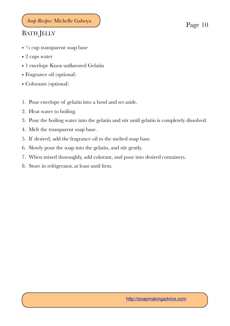### <span id="page-9-0"></span>BATH JELLY

- $\cdot$  <sup>1</sup>/<sub>2</sub> cup transparent soap base
- 2 cups water
- 1 envelope Knox unflavored Gelatin
- Fragrance oil (optional)
- Colorants (optional)
- 1. Pour envelope of gelatin into a bowl and set aside.
- 2. Heat water to boiling.
- 3. Pour the boiling water into the gelatin and stir until gelatin is completely dissolved.
- 4. Melt the transparent soap base.
- 5. If desired, add the fragrance oil to the melted soap base.
- 6. Slowly pour the soap into the gelatin, and stir gently.
- 7. When mixed thoroughly, add colorant, and pour into desired containers.
- 8. Store in refrigerator, at least until firm.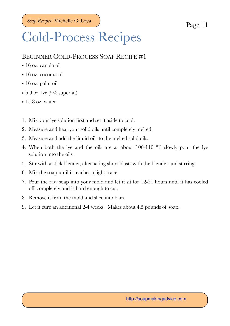## <span id="page-10-0"></span>Cold-Process Recipes

#### <span id="page-10-1"></span>BEGINNER COLD-PROCESS SOAP RECIPE #1

- 16 oz. canola oil
- 16 oz. coconut oil
- 16 oz. palm oil
- 6.9 oz. lye  $(5\%$  superfat)
- $\cdot$  15.8 oz. water
- 1. Mix your lye solution first and set it aside to cool.
- 2. Measure and heat your solid oils until completely melted.
- 3. Measure and add the liquid oils to the melted solid oils.
- 4. When both the lye and the oils are at about 100-110 °F, slowly pour the lye solution into the oils.
- 5. Stir with a stick blender, alternating short blasts with the blender and stirring.
- 6. Mix the soap until it reaches a light trace.
- 7. Pour the raw soap into your mold and let it sit for 12-24 hours until it has cooled off completely and is hard enough to cut.
- 8. Remove it from the mold and slice into bars.
- 9. Let it cure an additional 2-4 weeks. Makes about 4.5 pounds of soap.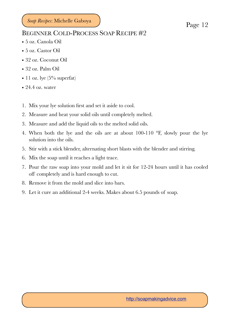#### <span id="page-11-0"></span>BEGINNER COLD-PROCESS SOAP RECIPE #2

- 5 oz. Canola Oil
- 5 oz. Castor Oil
- 32 oz. Coconut Oil
- 32 oz. Palm Oil
- 11 oz. lye  $(5\%$  superfat)
- 24.4 oz. water
- 1. Mix your lye solution first and set it aside to cool.
- 2. Measure and heat your solid oils until completely melted.
- 3. Measure and add the liquid oils to the melted solid oils.
- 4. When both the lye and the oils are at about 100-110 °F, slowly pour the lye solution into the oils.
- 5. Stir with a stick blender, alternating short blasts with the blender and stirring.
- 6. Mix the soap until it reaches a light trace.
- 7. Pour the raw soap into your mold and let it sit for 12-24 hours until it has cooled off completely and is hard enough to cut.
- 8. Remove it from the mold and slice into bars.
- 9. Let it cure an additional 2-4 weeks. Makes about 6.5 pounds of soap.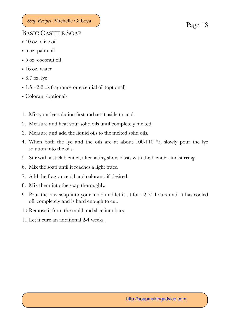#### <span id="page-12-0"></span>BASIC CASTILE SOAP

- 40 oz. olive oil
- 5 oz. palm oil
- 5 oz. coconut oil
- 16 oz. water
- 6.7 oz. lye
- 1.5 2.2 oz fragrance or essential oil (optional)
- Colorant (optional)
- 1. Mix your lye solution first and set it aside to cool.
- 2. Measure and heat your solid oils until completely melted.
- 3. Measure and add the liquid oils to the melted solid oils.
- 4. When both the lye and the oils are at about 100-110 °F, slowly pour the lye solution into the oils.
- 5. Stir with a stick blender, alternating short blasts with the blender and stirring.
- 6. Mix the soap until it reaches a light trace.
- 7. Add the fragrance oil and colorant, if desired.
- 8. Mix them into the soap thoroughly.
- 9. Pour the raw soap into your mold and let it sit for 12-24 hours until it has cooled off completely and is hard enough to cut.
- 10.Remove it from the mold and slice into bars.
- 11.Let it cure an additional 2-4 weeks.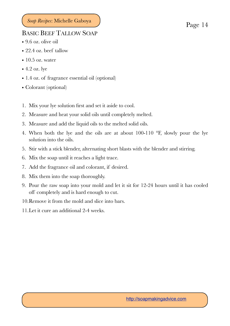### <span id="page-13-0"></span>BASIC BEEF TALLOW SOAP

- 9.6 oz. olive oil
- 22.4 oz. beef tallow
- $\cdot$  10.5 oz. water
- 4.2 oz. lye
- 1.4 oz. of fragrance essential oil (optional)
- Colorant (optional)
- 1. Mix your lye solution first and set it aside to cool.
- 2. Measure and heat your solid oils until completely melted.
- 3. Measure and add the liquid oils to the melted solid oils.
- 4. When both the lye and the oils are at about 100-110 °F, slowly pour the lye solution into the oils.
- 5. Stir with a stick blender, alternating short blasts with the blender and stirring.
- 6. Mix the soap until it reaches a light trace.
- 7. Add the fragrance oil and colorant, if desired.
- 8. Mix them into the soap thoroughly.
- 9. Pour the raw soap into your mold and let it sit for 12-24 hours until it has cooled off completely and is hard enough to cut.
- 10.Remove it from the mold and slice into bars.
- 11.Let it cure an additional 2-4 weeks.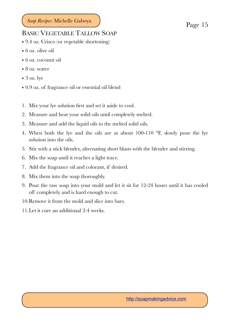#### <span id="page-14-0"></span>BASIC VEGETABLE TALLOW SOAP

- 9.4 oz. Crisco (or vegetable shortening)
- 6 oz. olive oil
- 6 oz. coconut oil
- 8 oz. water
- $\bullet$  3 oz. lye
- 0.9 oz. of fragrance oil or essential oil blend
- 1. Mix your lye solution first and set it aside to cool.
- 2. Measure and heat your solid oils until completely melted.
- 3. Measure and add the liquid oils to the melted solid oils.
- 4. When both the lye and the oils are at about 100-110 °F, slowly pour the lye solution into the oils.
- 5. Stir with a stick blender, alternating short blasts with the blender and stirring.
- 6. Mix the soap until it reaches a light trace.
- 7. Add the fragrance oil and colorant, if desired.
- 8. Mix them into the soap thoroughly.
- 9. Pour the raw soap into your mold and let it sit for 12-24 hours until it has cooled off completely and is hard enough to cut.
- 10.Remove it from the mold and slice into bars.
- 11.Let it cure an additional 2-4 weeks.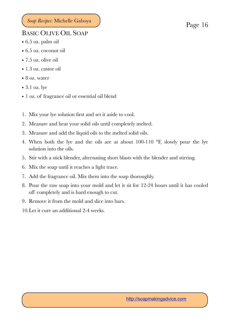### <span id="page-15-0"></span>BASIC OLIVE OIL SOAP

- 6.5 oz. palm oil
- 6.5 oz. coconut oil
- 7.5 oz. olive oil
- 1.3 oz. castor oil
- 8 oz. water
- 3.1 oz. lye
- 1 oz. of fragrance oil or essential oil blend
- 1. Mix your lye solution first and set it aside to cool.
- 2. Measure and heat your solid oils until completely melted.
- 3. Measure and add the liquid oils to the melted solid oils.
- 4. When both the lye and the oils are at about 100-110 °F, slowly pour the lye solution into the oils.
- 5. Stir with a stick blender, alternating short blasts with the blender and stirring.
- 6. Mix the soap until it reaches a light trace.
- 7. Add the fragrance oil. Mix them into the soap thoroughly.
- 8. Pour the raw soap into your mold and let it sit for 12-24 hours until it has cooled off completely and is hard enough to cut.
- 9. Remove it from the mold and slice into bars.
- 10.Let it cure an additional 2-4 weeks.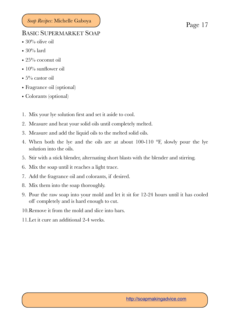#### <span id="page-16-0"></span>BASIC SUPERMARKET SOAP

- $30\%$  olive oil
- $30\%$  lard
- 25% coconut oil
- 10% sunflower oil
- $5\%$  castor oil
- Fragrance oil (optional)
- Colorants (optional)
- 1. Mix your lye solution first and set it aside to cool.
- 2. Measure and heat your solid oils until completely melted.
- 3. Measure and add the liquid oils to the melted solid oils.
- 4. When both the lye and the oils are at about 100-110 °F, slowly pour the lye solution into the oils.
- 5. Stir with a stick blender, alternating short blasts with the blender and stirring.
- 6. Mix the soap until it reaches a light trace.
- 7. Add the fragrance oil and colorants, if desired.
- 8. Mix them into the soap thoroughly.
- 9. Pour the raw soap into your mold and let it sit for 12-24 hours until it has cooled off completely and is hard enough to cut.
- 10.Remove it from the mold and slice into bars.
- 11.Let it cure an additional 2-4 weeks.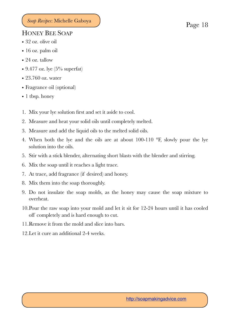#### <span id="page-17-0"></span>HONEY BEE SOAP

- 32 oz. olive oil
- 16 oz. palm oil
- 24 oz. tallow
- 9.477 oz. lye  $(5\%$  superfat)
- 23.760 oz. water
- Fragrance oil (optional)
- 1 tbsp. honey
- 1. Mix your lye solution first and set it aside to cool.
- 2. Measure and heat your solid oils until completely melted.
- 3. Measure and add the liquid oils to the melted solid oils.
- 4. When both the lye and the oils are at about 100-110 °F, slowly pour the lye solution into the oils.
- 5. Stir with a stick blender, alternating short blasts with the blender and stirring.
- 6. Mix the soap until it reaches a light trace.
- 7. At trace, add fragrance (if desired) and honey.
- 8. Mix them into the soap thoroughly.
- 9. Do not insulate the soap molds, as the honey may cause the soap mixture to overheat.
- 10.Pour the raw soap into your mold and let it sit for 12-24 hours until it has cooled off completely and is hard enough to cut.
- 11.Remove it from the mold and slice into bars.
- 12.Let it cure an additional 2-4 weeks.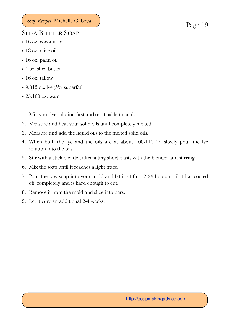#### <span id="page-18-0"></span>SHEA BUTTER SOAP

- 16 oz. coconut oil
- 18 oz. olive oil
- 16 oz. palm oil
- 4 oz. shea butter
- 16 oz. tallow
- 9.815 oz. lye  $(5\%$  superfat)
- 23.100 oz. water
- 1. Mix your lye solution first and set it aside to cool.
- 2. Measure and heat your solid oils until completely melted.
- 3. Measure and add the liquid oils to the melted solid oils.
- 4. When both the lye and the oils are at about 100-110 °F, slowly pour the lye solution into the oils.
- 5. Stir with a stick blender, alternating short blasts with the blender and stirring.
- 6. Mix the soap until it reaches a light trace.
- 7. Pour the raw soap into your mold and let it sit for 12-24 hours until it has cooled off completely and is hard enough to cut.
- 8. Remove it from the mold and slice into bars.
- 9. Let it cure an additional 2-4 weeks.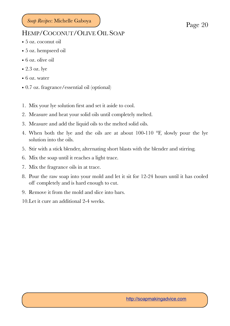#### <span id="page-19-0"></span>HEMP/COCONUT/OLIVE OIL SOAP

- 5 oz. coconut oil
- 5 oz. hempseed oil
- 6 oz. olive oil
- 2.3 oz. lye
- 6 oz. water
- 0.7 oz. fragrance/essential oil (optional)
- 1. Mix your lye solution first and set it aside to cool.
- 2. Measure and heat your solid oils until completely melted.
- 3. Measure and add the liquid oils to the melted solid oils.
- 4. When both the lye and the oils are at about 100-110 °F, slowly pour the lye solution into the oils.
- 5. Stir with a stick blender, alternating short blasts with the blender and stirring.
- 6. Mix the soap until it reaches a light trace.
- 7. Mix the fragrance oils in at trace.
- 8. Pour the raw soap into your mold and let it sit for 12-24 hours until it has cooled off completely and is hard enough to cut.
- 9. Remove it from the mold and slice into bars.
- 10.Let it cure an additional 2-4 weeks.

<http://soapmakingadvice.com>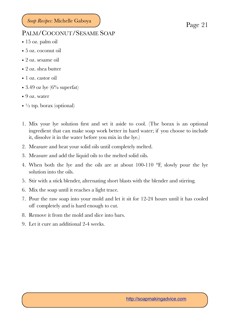#### <span id="page-20-0"></span>PALM/COCONUT/SESAME SOAP

- 15 oz. palm oil
- 5 oz. coconut oil
- 2 oz. sesame oil
- 2 oz. shea butter
- 1 oz. castor oil
- 3.49 oz lye  $(6\%$  superfat)
- 9 oz. water
- $\cdot$   $\frac{1}{2}$  tsp. borax (optional)
- 1. Mix your lye solution first and set it aside to cool. (The borax is an optional ingredient that can make soap work better in hard water; if you choose to include it, dissolve it in the water before you mix in the lye.)
- 2. Measure and heat your solid oils until completely melted.
- 3. Measure and add the liquid oils to the melted solid oils.
- 4. When both the lye and the oils are at about 100-110 °F, slowly pour the lye solution into the oils.
- 5. Stir with a stick blender, alternating short blasts with the blender and stirring.
- 6. Mix the soap until it reaches a light trace.
- 7. Pour the raw soap into your mold and let it sit for 12-24 hours until it has cooled off completely and is hard enough to cut.
- 8. Remove it from the mold and slice into bars.
- 9. Let it cure an additional 2-4 weeks.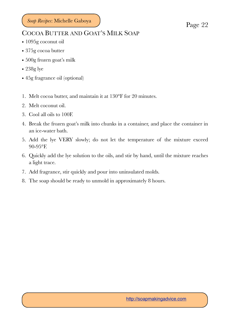#### <span id="page-21-0"></span>COCOA BUTTER AND GOAT'S MILK SOAP

- 1095g coconut oil
- 375g cocoa butter
- 500g frozen goat's milk
- 238g lye
- 45g fragrance oil (optional)
- 1. Melt cocoa butter, and maintain it at 130°F for 20 minutes.
- 2. Melt coconut oil.
- 3. Cool all oils to 100F.
- 4. Break the frozen goat's milk into chunks in a container, and place the container in an ice-water bath.
- 5. Add the lye VERY slowly; do not let the temperature of the mixture exceed 90-95°F.
- 6. Quickly add the lye solution to the oils, and stir by hand, until the mixture reaches a light trace.
- 7. Add fragrance, stir quickly and pour into uninsulated molds.
- 8. The soap should be ready to unmold in approximately 8 hours.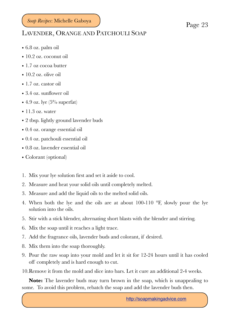### <span id="page-22-0"></span>LAVENDER, ORANGE AND PATCHOULI SOAP

- 6.8 oz. palm oil
- 10.2 oz. coconut oil
- 1.7 oz cocoa butter
- 10.2 oz. olive oil
- 1.7 oz. castor oil
- 3.4 oz. sunflower oil
- 4.9 oz. lye  $(5\%$  superfat)
- $\bullet$  11.3 oz. water
- 2 tbsp. lightly ground lavender buds
- 0.4 oz. orange essential oil
- 0.4 oz. patchouli essential oil
- 0.8 oz. lavender essential oil
- Colorant (optional)
- 1. Mix your lye solution first and set it aside to cool.
- 2. Measure and heat your solid oils until completely melted.
- 3. Measure and add the liquid oils to the melted solid oils.
- 4. When both the lye and the oils are at about 100-110 °F, slowly pour the lye solution into the oils.
- 5. Stir with a stick blender, alternating short blasts with the blender and stirring.
- 6. Mix the soap until it reaches a light trace.
- 7. Add the fragrance oils, lavender buds and colorant, if desired.
- 8. Mix them into the soap thoroughly.
- 9. Pour the raw soap into your mold and let it sit for 12-24 hours until it has cooled off completely and is hard enough to cut.
- 10.Remove it from the mold and slice into bars. Let it cure an additional 2-4 weeks.

**Note:** The lavender buds may turn brown in the soap, which is unappealing to some. To avoid this problem, rebatch the soap and add the lavender buds then.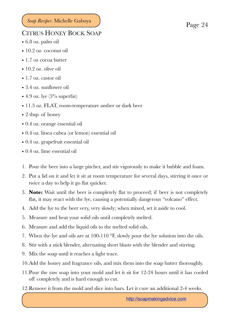#### <span id="page-23-0"></span>CITRUS HONEY BOCK SOAP

- 6.8 oz. palm oil
- 10.2 oz. coconut oil
- 1.7 oz cocoa butter
- 10.2 oz. olive oil
- 1.7 oz. castor oil
- 3.4 oz. sunflower oil
- 4.9 oz. lye  $(5\%$  superfat)
- 11.3 oz. FLAT, room-temperature amber or dark beer
- 2 tbsp. of honey
- 0.4 oz. orange essential oil
- 0.4 oz. litsea cubea (or lemon) essential oil
- 0.4 oz. grapefruit essential oil
- 0.4 oz. lime essential oil
- 1. Pour the beer into a large pitcher, and stir vigorously to make it bubble and foam.
- 2. Put a lid on it and let it sit at room temperature for several days, stirring it once or twice a day to help it go flat quicker.
- 3. **Note:** Wait until the beer is completely flat to proceed; if beer is not completely flat, it may react with the lye, causing a potentially dangerous "volcano" effect.
- 4. Add the lye to the beer very, very slowly; when mixed, set it aside to cool.
- 5. Measure and heat your solid oils until completely melted.
- 6. Measure and add the liquid oils to the melted solid oils.
- 7. When the lye and oils are at 100-110 °F, slowly pour the lye solution into the oils.
- 8. Stir with a stick blender, alternating short blasts with the blender and stirring.
- 9. Mix the soap until it reaches a light trace.
- 10.Add the honey and fragrance oils, and mix them into the soap batter thoroughly.
- 11.Pour the raw soap into your mold and let it sit for 12-24 hours until it has cooled off completely and is hard enough to cut.
- 12.Remove it from the mold and slice into bars. Let it cure an additional 2-4 weeks.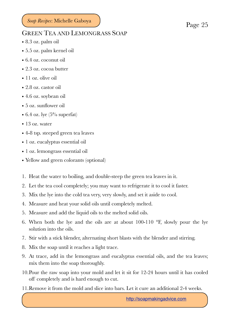#### <span id="page-24-0"></span>GREEN TEA AND LEMONGRASS SOAP

- 8.3 oz. palm oil
- 5.5 oz. palm kernel oil
- 6.4 oz. coconut oil
- 2.3 oz. cocoa butter
- 11 oz. olive oil
- 2.8 oz. castor oil
- 4.6 oz. soybean oil
- 5 oz. sunflower oil
- 6.4 oz. lye  $(5\%$  superfat)
- 13 oz. water
- 4-8 tsp. steeped green tea leaves
- 1 oz. eucalyptus essential oil
- 1 oz. lemongrass essential oil
- Yellow and green colorants (optional)
- 1. Heat the water to boiling, and double-steep the green tea leaves in it.
- 2. Let the tea cool completely; you may want to refrigerate it to cool it faster.
- 3. Mix the lye into the cold tea very, very slowly, and set it aside to cool.
- 4. Measure and heat your solid oils until completely melted.
- 5. Measure and add the liquid oils to the melted solid oils.
- 6. When both the lye and the oils are at about 100-110  $\textdegree$ F, slowly pour the lye solution into the oils.
- 7. Stir with a stick blender, alternating short blasts with the blender and stirring.
- 8. Mix the soap until it reaches a light trace.
- 9. At trace, add in the lemongrass and eucalyptus essential oils, and the tea leaves; mix them into the soap thoroughly.
- 10.Pour the raw soap into your mold and let it sit for 12-24 hours until it has cooled off completely and is hard enough to cut.
- 11.Remove it from the mold and slice into bars. Let it cure an additional 2-4 weeks.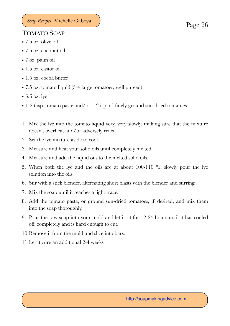### <span id="page-25-0"></span>TOMATO SOAP

- 7.5 oz. olive oil
- 7.5 oz. coconut oil
- 7 oz. palm oil
- 1.5 oz. castor oil
- 1.5 oz. cocoa butter
- 7.5 oz. tomato liquid (3-4 large tomatoes, well pureed)
- 3.6 oz. lye
- 1-2 tbsp. tomato paste and/or 1-2 tsp. of finely ground sun-dried tomatoes
- 1. Mix the lye into the tomato liquid very, very slowly, making sure that the mixture doesn't overheat and/or adversely react.
- 2. Set the lye mixture aside to cool.
- 3. Measure and heat your solid oils until completely melted.
- 4. Measure and add the liquid oils to the melted solid oils.
- 5. When both the lye and the oils are at about 100-110 °F, slowly pour the lye solution into the oils.
- 6. Stir with a stick blender, alternating short blasts with the blender and stirring.
- 7. Mix the soap until it reaches a light trace.
- 8. Add the tomato paste, or ground sun-dried tomatoes, if desired, and mix them into the soap thoroughly.
- 9. Pour the raw soap into your mold and let it sit for 12-24 hours until it has cooled off completely and is hard enough to cut.
- 10.Remove it from the mold and slice into bars.
- 11.Let it cure an additional 2-4 weeks.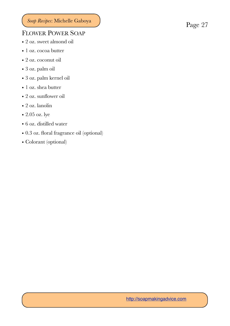### <span id="page-26-0"></span>FLOWER POWER SOAP

- 2 oz. sweet almond oil
- 1 oz. cocoa butter
- 2 oz. coconut oil
- 3 oz. palm oil
- 3 oz. palm kernel oil
- 1 oz. shea butter
- 2 oz. sunflower oil
- 2 oz. lanolin
- $\bullet$  2.05 oz. lye
- 6 oz. distilled water
- 0.3 oz. floral fragrance oil (optional)
- Colorant (optional)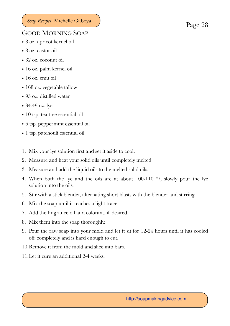#### <span id="page-27-0"></span>GOOD MORNING SOAP

- 8 oz. apricot kernel oil
- 8 oz. castor oil
- 32 oz. coconut oil
- 16 oz. palm kernel oil
- 16 oz. emu oil
- 168 oz. vegetable tallow
- 93 oz. distilled water
- 34.49 oz. lye
- 10 tsp. tea tree essential oil
- 6 tsp. peppermint essential oil
- 1 tsp. patchouli essential oil
- 1. Mix your lye solution first and set it aside to cool.
- 2. Measure and heat your solid oils until completely melted.
- 3. Measure and add the liquid oils to the melted solid oils.
- 4. When both the lye and the oils are at about 100-110 °F, slowly pour the lye solution into the oils.
- 5. Stir with a stick blender, alternating short blasts with the blender and stirring.
- 6. Mix the soap until it reaches a light trace.
- 7. Add the fragrance oil and colorant, if desired.
- 8. Mix them into the soap thoroughly.
- 9. Pour the raw soap into your mold and let it sit for 12-24 hours until it has cooled off completely and is hard enough to cut.
- 10.Remove it from the mold and slice into bars.
- 11.Let it cure an additional 2-4 weeks.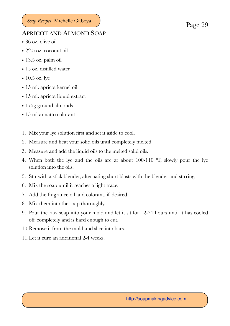#### <span id="page-28-0"></span>APRICOT AND ALMOND SOAP

- 36 oz. olive oil
- 22.5 oz. coconut oil
- 13.5 oz. palm oil
- 15 oz. distilled water
- 10.5 oz. lye
- 15 ml. apricot kernel oil
- 15 ml. apricot liquid extract
- 175g ground almonds
- 15 ml annatto colorant
- 1. Mix your lye solution first and set it aside to cool.
- 2. Measure and heat your solid oils until completely melted.
- 3. Measure and add the liquid oils to the melted solid oils.
- 4. When both the lye and the oils are at about 100-110 °F, slowly pour the lye solution into the oils.
- 5. Stir with a stick blender, alternating short blasts with the blender and stirring.
- 6. Mix the soap until it reaches a light trace.
- 7. Add the fragrance oil and colorant, if desired.
- 8. Mix them into the soap thoroughly.
- 9. Pour the raw soap into your mold and let it sit for 12-24 hours until it has cooled off completely and is hard enough to cut.
- 10.Remove it from the mold and slice into bars.
- 11.Let it cure an additional 2-4 weeks.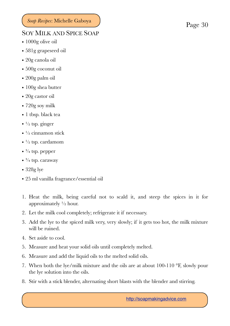#### <span id="page-29-0"></span>SOY MILK AND SPICE SOAP

- 1000g olive oil
- 581g grapeseed oil
- 20g canola oil
- 500g coconut oil
- 200g palm oil
- 100g shea butter
- 20g castor oil
- 720g soy milk
- 1 tbsp. black tea
- $\cdot$   $\frac{1}{2}$  tsp. ginger
- $\cdot$   $\frac{1}{2}$  cinnamon stick
- $\cdot$  <sup>1</sup>/<sub>2</sub> tsp. cardamom
- $\bullet$   $\frac{3}{4}$  tsp. pepper
- $\frac{3}{4}$  tsp. caraway
- 328g lye
- 25 ml vanilla fragrance/essential oil
- 1. Heat the milk, being careful not to scald it, and steep the spices in it for approximately  $\frac{1}{2}$  hour.
- 2. Let the milk cool completely; refrigerate it if necessary.
- 3. Add the lye to the spiced milk very, very slowly; if it gets too hot, the milk mixture will be ruined.
- 4. Set aside to cool.
- 5. Measure and heat your solid oils until completely melted.
- 6. Measure and add the liquid oils to the melted solid oils.
- 7. When both the lye/milk mixture and the oils are at about 100-110 °F, slowly pour the lye solution into the oils.
- 8. Stir with a stick blender, alternating short blasts with the blender and stirring.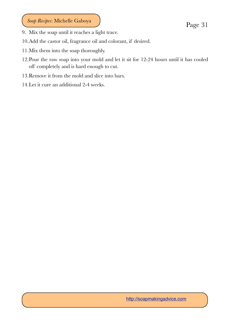- 9. Mix the soap until it reaches a light trace.
- 10.Add the castor oil, fragrance oil and colorant, if desired.
- 11.Mix them into the soap thoroughly.
- 12.Pour the raw soap into your mold and let it sit for 12-24 hours until it has cooled off completely and is hard enough to cut.
- 13.Remove it from the mold and slice into bars.
- 14.Let it cure an additional 2-4 weeks.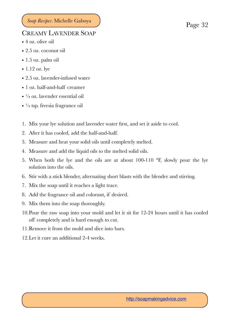#### <span id="page-31-0"></span>CREAMY LAVENDER SOAP

- 4 oz. olive oil
- 2.5 oz. coconut oil
- 1.5 oz. palm oil
- $\bullet$  1.12 oz. lye
- 2.5 oz. lavender-infused water
- 1 oz. half-and-half creamer
- ¼ oz. lavender essential oil
- $\cdot$   $\frac{1}{4}$  tsp. freesia fragrance oil
- 1. Mix your lye solution and lavender water first, and set it aside to cool.
- 2. After it has cooled, add the half-and-half.
- 3. Measure and heat your solid oils until completely melted.
- 4. Measure and add the liquid oils to the melted solid oils.
- 5. When both the lye and the oils are at about 100-110 °F, slowly pour the lye solution into the oils.
- 6. Stir with a stick blender, alternating short blasts with the blender and stirring.
- 7. Mix the soap until it reaches a light trace.
- 8. Add the fragrance oil and colorant, if desired.
- 9. Mix them into the soap thoroughly.
- 10.Pour the raw soap into your mold and let it sit for 12-24 hours until it has cooled off completely and is hard enough to cut.
- 11.Remove it from the mold and slice into bars.
- 12.Let it cure an additional 2-4 weeks.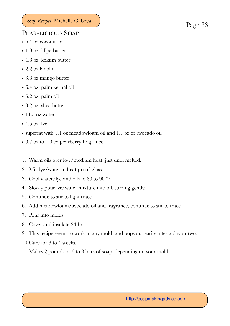#### <span id="page-32-0"></span>PEAR-LICIOUS SOAP

- 6.4 oz coconut oil
- 1.9 oz. illipe butter
- 4.8 oz. kokum butter
- 2.2 oz lanolin
- 3.8 oz mango butter
- 6.4 oz. palm kernal oil
- 3.2 oz. palm oil
- 3.2 oz. shea butter
- $\cdot$  11.5 oz water
- 4.5 oz. lye
- superfat with 1.1 oz meadowfoam oil and 1.1 oz of avocado oil
- 0.7 oz to 1.0 oz pearberry fragrance
- 1. Warm oils over low/medium heat, just until melted.
- 2. Mix lye/water in heat-proof glass.
- 3. Cool water/lye and oils to 80 to 90 °F.
- 4. Slowly pour lye/water mixture into oil, stirring gently.
- 5. Continue to stir to light trace.
- 6. Add meadowfoam/avocado oil and fragrance, continue to stir to trace.
- 7. Pour into molds.
- 8. Cover and insulate 24 hrs.
- 9. This recipe seems to work in any mold, and pops out easily after a day or two.
- 10.Cure for 3 to 4 weeks.
- 11.Makes 2 pounds or 6 to 8 bars of soap, depending on your mold.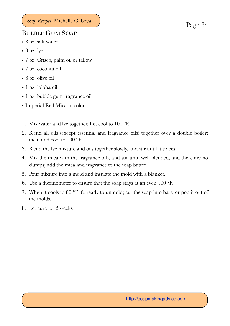#### <span id="page-33-0"></span>BUBBLE GUM SOAP

- 8 oz. soft water
- $\bullet$  3 oz. lye
- 7 oz. Crisco, palm oil or tallow
- 7 oz. coconut oil
- 6 oz. olive oil
- 1 oz. jojoba oil
- 1 oz. bubble gum fragrance oil
- Imperial Red Mica to color
- 1. Mix water and lye together. Let cool to 100 °F.
- 2. Blend all oils (except essential and fragrance oils) together over a double boiler; melt, and cool to 100 °F.
- 3. Blend the lye mixture and oils together slowly, and stir until it traces.
- 4. Mix the mica with the fragrance oils, and stir until well-blended, and there are no clumps; add the mica and fragrance to the soap batter.
- 5. Pour mixture into a mold and insulate the mold with a blanket.
- 6. Use a thermometer to ensure that the soap stays at an even 100 °F.
- 7. When it cools to 80 °F it's ready to unmold; cut the soap into bars, or pop it out of the molds.
- 8. Let cure for 2 weeks.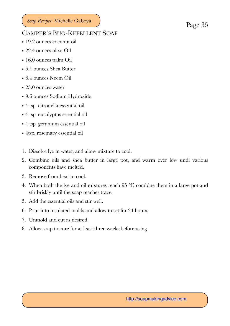#### <span id="page-34-0"></span>CAMPER'S BUG-REPELLENT SOAP

- 19.2 ounces coconut oil
- 22.4 ounces olive Oil
- 16.0 ounces palm Oil
- 6.4 ounces Shea Butter
- 6.4 ounces Neem Oil
- 23.0 ounces water
- 9.6 ounces Sodium Hydroxide
- 4 tsp. citronella essential oil
- 4 tsp. eucalyptus essential oil
- 4 tsp. geranium essential oil
- 4tsp. rosemary essential oil
- 1. Dissolve lye in water, and allow mixture to cool.
- 2. Combine oils and shea butter in large pot, and warm over low until various components have melted.
- 3. Remove from heat to cool.
- 4. When both the lye and oil mixtures reach 95 °F, combine them in a large pot and stir briskly until the soap reaches trace.
- 5. Add the essential oils and stir well.
- 6. Pour into insulated molds and allow to set for 24 hours.
- 7. Unmold and cut as desired.
- 8. Allow soap to cure for at least three weeks before using.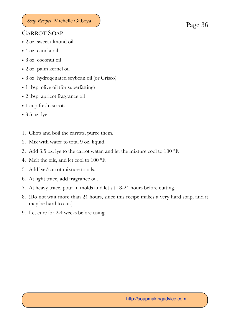#### <span id="page-35-0"></span>CARROT SOAP

- 2 oz. sweet almond oil
- 4 oz. canola oil
- 8 oz. coconut oil
- 2 oz. palm kernel oil
- 8 oz. hydrogenated soybean oil (or Crisco)
- 1 tbsp. olive oil (for superfatting)
- 2 tbsp. apricot fragrance oil
- 1 cup fresh carrots
- 3.5 oz. lye
- 1. Chop and boil the carrots, puree them.
- 2. Mix with water to total 9 oz. liquid.
- 3. Add 3.5 oz. lye to the carrot water, and let the mixture cool to 100 °F.
- 4. Melt the oils, and let cool to 100 °F.
- 5. Add lye/carrot mixture to oils.
- 6. At light trace, add fragrance oil.
- 7. At heavy trace, pour in molds and let sit 18-24 hours before cutting.
- 8. (Do not wait more than 24 hours, since this recipe makes a very hard soap, and it may be hard to cut.)
- 9. Let cure for 2-4 weeks before using.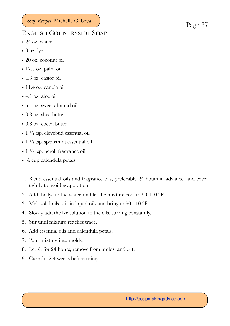#### <span id="page-36-0"></span>ENGLISH COUNTRYSIDE SOAP

- 24 oz. water
- $\bullet$  9 oz. lye
- 20 oz. coconut oil
- 17.5 oz. palm oil
- 4.3 oz. castor oil
- 11.4 oz. canola oil
- 4.1 oz. aloe oil
- 5.1 oz. sweet almond oil
- 0.8 oz. shea butter
- 0.8 oz. cocoa butter
- $1\frac{1}{2}$  tsp. clovebud essential oil
- $\bullet$  1  $\frac{1}{2}$  tsp. spearmint essential oil
- 1 ½ tsp. neroli fragrance oil
- $\cdot$   $\frac{1}{2}$  cup calendula petals
- 1. Blend essential oils and fragrance oils, preferably 24 hours in advance, and cover tightly to avoid evaporation.
- 2. Add the lye to the water, and let the mixture cool to 90-110 °F.
- 3. Melt solid oils, stir in liquid oils and bring to 90-110 °F.
- 4. Slowly add the lye solution to the oils, stirring constantly.
- 5. Stir until mixture reaches trace.
- 6. Add essential oils and calendula petals.
- 7. Pour mixture into molds.
- 8. Let sit for 24 hours, remove from molds, and cut.
- 9. Cure for 2-4 weeks before using.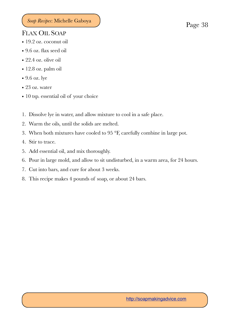### <span id="page-37-0"></span>FLAX OIL SOAP

- 19.2 oz. coconut oil
- 9.6 oz. flax seed oil
- 22.4 oz. olive oil
- 12.8 oz. palm oil
- 9.6 oz. lye
- 23 oz. water
- 10 tsp. essential oil of your choice
- 1. Dissolve lye in water, and allow mixture to cool in a safe place.
- 2. Warm the oils, until the solids are melted.
- 3. When both mixtures have cooled to 95 °F, carefully combine in large pot.
- 4. Stir to trace.
- 5. Add essential oil, and mix thoroughly.
- 6. Pour in large mold, and allow to sit undisturbed, in a warm area, for 24 hours.
- 7. Cut into bars, and cure for about 3 weeks.
- 8. This recipe makes 4 pounds of soap, or about 24 bars.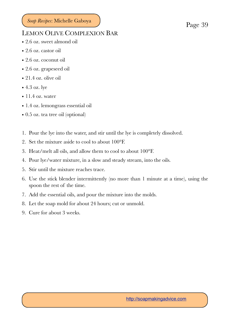#### <span id="page-38-0"></span>LEMON OLIVE COMPLEXION BAR

- 2.6 oz. sweet almond oil
- 2.6 oz. castor oil
- 2.6 oz. coconut oil
- 2.6 oz. grapeseed oil
- 21.4 oz. olive oil
- 4.3 oz. lye
- $\bullet$  11.4 oz. water
- 1.4 oz. lemongrass essential oil
- 0.5 oz. tea tree oil (optional)
- 1. Pour the lye into the water, and stir until the lye is completely dissolved.
- 2. Set the mixture aside to cool to about 100°F.
- 3. Heat/melt all oils, and allow them to cool to about 100°F.
- 4. Pour lye/water mixture, in a slow and steady stream, into the oils.
- 5. Stir until the mixture reaches trace.
- 6. Use the stick blender intermittently (no more than 1 minute at a time), using the spoon the rest of the time.
- 7. Add the essential oils, and pour the mixture into the molds.
- 8. Let the soap mold for about 24 hours; cut or unmold.
- 9. Cure for about 3 weeks.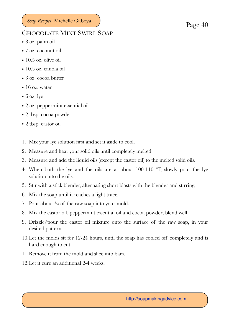#### <span id="page-39-0"></span>CHOCOLATE MINT SWIRL SOAP

- 8 oz. palm oil
- 7 oz. coconut oil
- 10.5 oz. olive oil
- 10.5 oz. canola oil
- 3 oz. cocoa butter
- 16 oz. water
- $\bullet$  6 oz. lye
- 2 oz. peppermint essential oil
- 2 tbsp. cocoa powder
- 2 tbsp. castor oil
- 1. Mix your lye solution first and set it aside to cool.
- 2. Measure and heat your solid oils until completely melted.
- 3. Measure and add the liquid oils (except the castor oil) to the melted solid oils.
- 4. When both the lye and the oils are at about 100-110 °F, slowly pour the lye solution into the oils.
- 5. Stir with a stick blender, alternating short blasts with the blender and stirring.
- 6. Mix the soap until it reaches a light trace.
- 7. Pour about  $\frac{3}{4}$  of the raw soap into your mold.
- 8. Mix the castor oil, peppermint essential oil and cocoa powder; blend well.
- 9. Drizzle/pour the castor oil mixture onto the surface of the raw soap, in your desired pattern.
- 10.Let the molds sit for 12-24 hours, until the soap has cooled off completely and is hard enough to cut.
- 11.Remove it from the mold and slice into bars.
- 12.Let it cure an additional 2-4 weeks.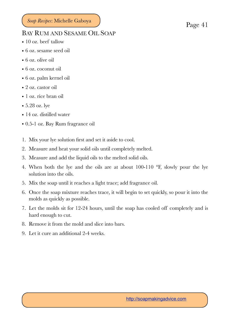### <span id="page-40-0"></span>BAY RUM AND SESAME OIL SOAP

- 10 oz. beef tallow
- 6 oz. sesame seed oil
- 6 oz. olive oil
- 6 oz. coconut oil
- 6 oz. palm kernel oil
- 2 oz. castor oil
- 1 oz. rice bran oil
- 5.28 oz. lye
- 14 oz. distilled water
- 0.5-1 oz. Bay Rum fragrance oil
- 1. Mix your lye solution first and set it aside to cool.
- 2. Measure and heat your solid oils until completely melted.
- 3. Measure and add the liquid oils to the melted solid oils.
- 4. When both the lye and the oils are at about 100-110 °F, slowly pour the lye solution into the oils.
- 5. Mix the soap until it reaches a light trace; add fragrance oil.
- 6. Once the soap mixture reaches trace, it will begin to set quickly, so pour it into the molds as quickly as possible.
- 7. Let the molds sit for 12-24 hours, until the soap has cooled off completely and is hard enough to cut.
- 8. Remove it from the mold and slice into bars.
- 9. Let it cure an additional 2-4 weeks.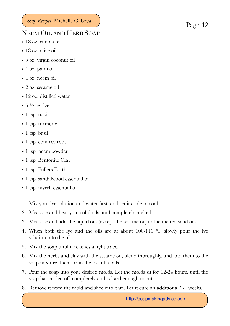#### <span id="page-41-0"></span>NEEM OIL AND HERB SOAP

- 18 oz. canola oil
- 18 oz. olive oil
- 5 oz. virgin coconut oil
- 4 oz. palm oil
- 4 oz. neem oil
- 2 oz. sesame oil
- 12 oz. distilled water
- $6 \frac{1}{2}$  oz. lye
- 1 tsp. tulsi
- 1 tsp. turmeric
- 1 tsp. basil
- 1 tsp. comfrey root
- 1 tsp. neem powder
- 1 tsp. Bentonite Clay
- 1 tsp. Fullers Earth
- 1 tsp. sandalwood essential oil
- 1 tsp. myrrh essential oil
- 1. Mix your lye solution and water first, and set it aside to cool.
- 2. Measure and heat your solid oils until completely melted.
- 3. Measure and add the liquid oils (except the sesame oil) to the melted solid oils.
- 4. When both the lye and the oils are at about 100-110 °F, slowly pour the lye solution into the oils.
- 5. Mix the soap until it reaches a light trace.
- 6. Mix the herbs and clay with the sesame oil, blend thoroughly, and add them to the soap mixture, then stir in the essential oils.
- 7. Pour the soap into your desired molds. Let the molds sit for 12-24 hours, until the soap has cooled off completely and is hard enough to cut.
- 8. Remove it from the mold and slice into bars. Let it cure an additional 2-4 weeks.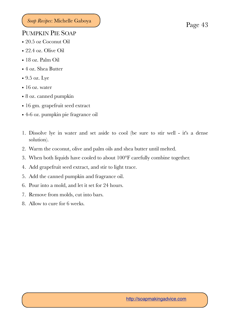#### <span id="page-42-0"></span>PUMPKIN PIE SOAP

- 20.5 oz Coconut Oil
- 22.4 oz. Olive Oil
- 18 oz. Palm Oil
- 4 oz. Shea Butter
- 9.5 oz. Lye
- 16 oz. water
- 8 oz. canned pumpkin
- 16 gm. grapefruit seed extract
- 4-6 oz. pumpkin pie fragrance oil
- 1. Dissolve lye in water and set aside to cool (be sure to stir well it's a dense solution).
- 2. Warm the coconut, olive and palm oils and shea butter until melted.
- 3. When both liquids have cooled to about 100°F carefully combine together.
- 4. Add grapefruit seed extract, and stir to light trace.
- 5. Add the canned pumpkin and fragrance oil.
- 6. Pour into a mold, and let it set for 24 hours.
- 7. Remove from molds, cut into bars.
- 8. Allow to cure for 6 weeks.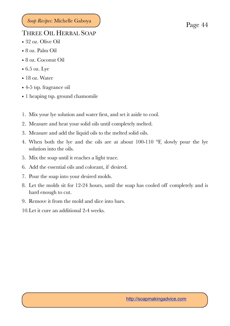### <span id="page-43-0"></span>THREE OIL HERBAL SOAP

- 32 oz. Olive Oil
- 8 oz. Palm Oil
- 8 oz. Coconut Oil
- $\bullet$  6.5 oz. Lye
- 18 oz. Water
- 4-5 tsp. fragrance oil
- 1 heaping tsp. ground chamomile
- 1. Mix your lye solution and water first, and set it aside to cool.
- 2. Measure and heat your solid oils until completely melted.
- 3. Measure and add the liquid oils to the melted solid oils.
- 4. When both the lye and the oils are at about 100-110 °F, slowly pour the lye solution into the oils.
- 5. Mix the soap until it reaches a light trace.
- 6. Add the essential oils and colorant, if desired.
- 7. Pour the soap into your desired molds.
- 8. Let the molds sit for 12-24 hours, until the soap has cooled off completely and is hard enough to cut.
- 9. Remove it from the mold and slice into bars.
- 10.Let it cure an additional 2-4 weeks.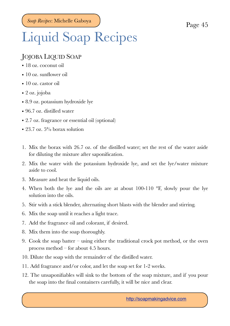# <span id="page-44-0"></span>Liquid Soap Recipes

### <span id="page-44-1"></span>JOJOBA LIQUID SOAP

- 18 oz. coconut oil
- 10 oz. sunflower oil
- 10 oz. castor oil
- 2 oz. jojoba
- 8.9 oz. potassium hydroxide lye
- 96.7 oz. distilled water
- 2.7 oz. fragrance or essential oil (optional)
- 23.7 oz.  $5\%$  borax solution
- 1. Mix the borax with 26.7 oz. of the distilled water; set the rest of the water aside for diluting the mixture after saponification.
- 2. Mix the water with the potassium hydroxide lye, and set the lye/water mixture aside to cool.
- 3. Measure and heat the liquid oils.
- 4. When both the lye and the oils are at about 100-110 °F, slowly pour the lye solution into the oils.
- 5. Stir with a stick blender, alternating short blasts with the blender and stirring.
- 6. Mix the soap until it reaches a light trace.
- 7. Add the fragrance oil and colorant, if desired.
- 8. Mix them into the soap thoroughly.
- 9. Cook the soap batter using either the traditional crock pot method, or the oven process method – for about 4.5 hours.
- 10. Dilute the soap with the remainder of the distilled water.
- 11. Add fragrance and/or color, and let the soap set for 1-2 weeks.
- 12. The unsaponifiables will sink to the bottom of the soap mixture, and if you pour the soap into the final containers carefully, it will be nice and clear.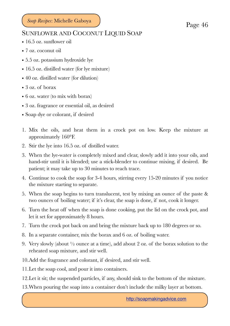#### <span id="page-45-0"></span>SUNFLOWER AND COCONUT LIQUID SOAP

- 16.5 oz. sunflower oil
- 7 oz. coconut oil
- 5.5 oz. potassium hydroxide lye
- 16.5 oz. distilled water (for lye mixture)
- 40 oz. distilled water (for dilution)
- 3 oz. of borax
- 6 oz. water (to mix with borax)
- 3 oz. fragrance or essential oil, as desired
- Soap dye or colorant, if desired
- 1. Mix the oils, and heat them in a crock pot on low. Keep the mixture at approximately 160°F.
- 2. Stir the lye into 16.5 oz. of distilled water.
- 3. When the lye-water is completely mixed and clear, slowly add it into your oils, and hand-stir until it is blended; use a stick-blender to continue mixing, if desired. Be patient; it may take up to 30 minutes to reach trace.
- 4. Continue to cook the soap for 3-4 hours, stirring every 15-20 minutes if you notice the mixture starting to separate.
- 5. When the soap begins to turn translucent, test by mixing an ounce of the paste & two ounces of boiling water; if it's clear, the soap is done, if not, cook it longer.
- 6. Turn the heat off when the soap is done cooking, put the lid on the crock pot, and let it set for approximately 8 hours.
- 7. Turn the crock pot back on and bring the mixture back up to 180 degrees or so.
- 8. In a separate container, mix the borax and 6 oz. of boiling water.
- 9. Very slowly (about ½ ounce at a time), add about 2 oz. of the borax solution to the reheated soap mixture, and stir well.
- 10.Add the fragrance and colorant, if desired, and stir well.
- 11.Let the soap cool, and pour it into containers.
- 12.Let it sit; the suspended particles, if any, should sink to the bottom of the mixture.
- 13.When pouring the soap into a container don't include the milky layer at bottom.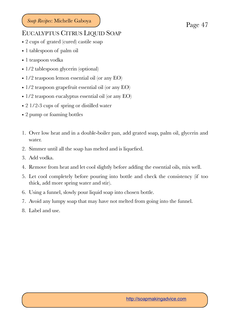#### <span id="page-46-0"></span>EUCALYPTUS CITRUS LIQUID SOAP

- 2 cups of grated (cured) castile soap
- 1 tablespoon of palm oil
- 1 teaspoon vodka
- 1/2 tablespoon glycerin (optional)
- $1/2$  teaspoon lemon essential oil (or any EO)
- 1/2 teaspoon grapefruit essential oil (or any EO)
- 1/2 teaspoon eucalyptus essential oil (or any EO)
- 2 1/2-3 cups of spring or distilled water
- 2 pump or foaming bottles
- 1. Over low heat and in a double-boiler pan, add grated soap, palm oil, glycerin and water.
- 2. Simmer until all the soap has melted and is liquefied.
- 3. Add vodka.
- 4. Remove from heat and let cool slightly before adding the essential oils, mix well.
- 5. Let cool completely before pouring into bottle and check the consistency (if too thick, add more spring water and stir).
- 6. Using a funnel, slowly pour liquid soap into chosen bottle.
- 7. Avoid any lumpy soap that may have not melted from going into the funnel.
- 8. Label and use.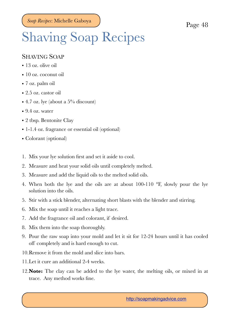# <span id="page-47-0"></span>Shaving Soap Recipes

#### <span id="page-47-1"></span>SHAVING SOAP

- 13 oz. olive oil
- 10 oz. coconut oil
- 7 oz. palm oil
- 2.5 oz. castor oil
- 4.7 oz. lye (about a  $5\%$  discount)
- 9.4 oz. water
- 2 tbsp. Bentonite Clay
- 1-1.4 oz. fragrance or essential oil (optional)
- Colorant (optional)
- 1. Mix your lye solution first and set it aside to cool.
- 2. Measure and heat your solid oils until completely melted.
- 3. Measure and add the liquid oils to the melted solid oils.
- 4. When both the lye and the oils are at about 100-110 °F, slowly pour the lye solution into the oils.
- 5. Stir with a stick blender, alternating short blasts with the blender and stirring.
- 6. Mix the soap until it reaches a light trace.
- 7. Add the fragrance oil and colorant, if desired.
- 8. Mix them into the soap thoroughly.
- 9. Pour the raw soap into your mold and let it sit for 12-24 hours until it has cooled off completely and is hard enough to cut.
- 10.Remove it from the mold and slice into bars.
- 11.Let it cure an additional 2-4 weeks.
- 12.**Note:** The clay can be added to the lye water, the melting oils, or mixed in at trace. Any method works fine.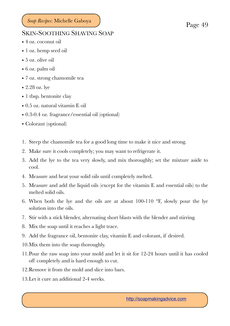#### <span id="page-48-0"></span>SKIN-SOOTHING SHAVING SOAP

- 4 oz. coconut oil
- 1 oz. hemp seed oil
- 5 oz. olive oil
- 6 oz. palm oil
- 7 oz. strong chamomile tea
- 2.28 oz. lye
- 1 tbsp. bentonite clay
- 0.5 oz. natural vitamin E oil
- 0.3-0.4 oz. fragrance/essential oil (optional)
- Colorant (optional)
- 1. Steep the chamomile tea for a good long time to make it nice and strong.
- 2. Make sure it cools completely; you may want to refrigerate it.
- 3. Add the lye to the tea very slowly, and mix thoroughly; set the mixture aside to cool.
- 4. Measure and heat your solid oils until completely melted.
- 5. Measure and add the liquid oils (except for the vitamin E and essential oils) to the melted solid oils.
- 6. When both the lye and the oils are at about 100-110 °F, slowly pour the lye solution into the oils.
- 7. Stir with a stick blender, alternating short blasts with the blender and stirring.
- 8. Mix the soap until it reaches a light trace.
- 9. Add the fragrance oil, bentonite clay, vitamin E and colorant, if desired.
- 10.Mix them into the soap thoroughly.
- 11.Pour the raw soap into your mold and let it sit for 12-24 hours until it has cooled off completely and is hard enough to cut.
- 12.Remove it from the mold and slice into bars.
- 13.Let it cure an additional 2-4 weeks.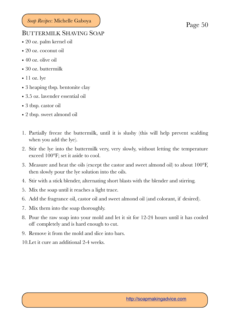#### <span id="page-49-0"></span>BUTTERMILK SHAVING SOAP

- 20 oz. palm kernel oil
- 20 oz. coconut oil
- 40 oz. olive oil
- 30 oz. buttermilk
- $\bullet$  11 oz. lye
- 3 heaping tbsp. bentonite clay
- 3.5 oz. lavender essential oil
- 3 tbsp. castor oil
- 2 tbsp. sweet almond oil
- 1. Partially freeze the buttermilk, until it is slushy (this will help prevent scalding when you add the lye).
- 2. Stir the lye into the buttermilk very, very slowly, without letting the temperature exceed 100°F; set it aside to cool.
- 3. Measure and heat the oils (except the castor and sweet almond oil) to about 100°F, then slowly pour the lye solution into the oils.
- 4. Stir with a stick blender, alternating short blasts with the blender and stirring.
- 5. Mix the soap until it reaches a light trace.
- 6. Add the fragrance oil, castor oil and sweet almond oil (and colorant, if desired).
- 7. Mix them into the soap thoroughly.
- 8. Pour the raw soap into your mold and let it sit for 12-24 hours until it has cooled off completely and is hard enough to cut.
- 9. Remove it from the mold and slice into bars.
- 10.Let it cure an additional 2-4 weeks.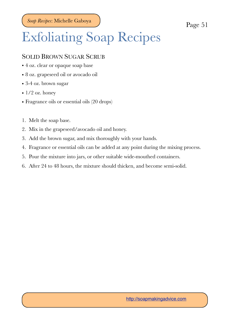# <span id="page-50-0"></span>Exfoliating Soap Recipes

#### <span id="page-50-1"></span>SOLID BROWN SUGAR SCRUB

- 4 oz. clear or opaque soap base
- 8 oz. grapeseed oil or avocado oil
- 3-4 oz. brown sugar
- $\bullet$  1/2 oz. honey
- Fragrance oils or essential oils (20 drops)
- 1. Melt the soap base.
- 2. Mix in the grapeseed/avocado oil and honey.
- 3. Add the brown sugar, and mix thoroughly with your hands.
- 4. Fragrance or essential oils can be added at any point during the mixing process.
- 5. Pour the mixture into jars, or other suitable wide-mouthed containers.
- 6. After 24 to 48 hours, the mixture should thicken, and become semi-solid.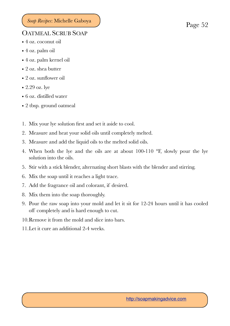#### <span id="page-51-0"></span>OATMEAL SCRUB SOAP

- 4 oz. coconut oil
- 4 oz. palm oil
- 4 oz. palm kernel oil
- 2 oz. shea butter
- 2 oz. sunflower oil
- 2.29 oz. lye
- 6 oz. distilled water
- 2 tbsp. ground oatmeal
- 1. Mix your lye solution first and set it aside to cool.
- 2. Measure and heat your solid oils until completely melted.
- 3. Measure and add the liquid oils to the melted solid oils.
- 4. When both the lye and the oils are at about 100-110 °F, slowly pour the lye solution into the oils.
- 5. Stir with a stick blender, alternating short blasts with the blender and stirring.
- 6. Mix the soap until it reaches a light trace.
- 7. Add the fragrance oil and colorant, if desired.
- 8. Mix them into the soap thoroughly.
- 9. Pour the raw soap into your mold and let it sit for 12-24 hours until it has cooled off completely and is hard enough to cut.
- 10.Remove it from the mold and slice into bars.
- 11.Let it cure an additional 2-4 weeks.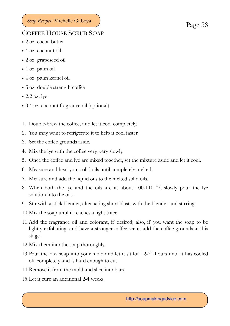#### <span id="page-52-0"></span>COFFEE HOUSE SCRUB SOAP

- 2 oz. cocoa butter
- 4 oz. coconut oil
- 2 oz. grapeseed oil
- 4 oz. palm oil
- 4 oz. palm kernel oil
- 6 oz. double strength coffee
- 2.2 oz. lye
- 0.4 oz. coconut fragrance oil (optional)
- 1. Double-brew the coffee, and let it cool completely.
- 2. You may want to refrigerate it to help it cool faster.
- 3. Set the coffee grounds aside.
- 4. Mix the lye with the coffee very, very slowly.
- 5. Once the coffee and lye are mixed together, set the mixture aside and let it cool.
- 6. Measure and heat your solid oils until completely melted.
- 7. Measure and add the liquid oils to the melted solid oils.
- 8. When both the lye and the oils are at about 100-110 °F, slowly pour the lye solution into the oils.
- 9. Stir with a stick blender, alternating short blasts with the blender and stirring.
- 10.Mix the soap until it reaches a light trace.
- 11.Add the fragrance oil and colorant, if desired; also, if you want the soap to be lightly exfoliating, and have a stronger coffee scent, add the coffee grounds at this stage.
- 12.Mix them into the soap thoroughly.
- 13.Pour the raw soap into your mold and let it sit for 12-24 hours until it has cooled off completely and is hard enough to cut.
- 14.Remove it from the mold and slice into bars.
- 15.Let it cure an additional 2-4 weeks.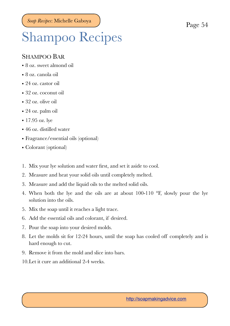# <span id="page-53-0"></span>Shampoo Recipes

#### <span id="page-53-1"></span>SHAMPOO BAR

- 8 oz. sweet almond oil
- 8 oz. canola oil
- 24 oz. castor oil
- 32 oz. coconut oil
- 32 oz. olive oil
- 24 oz. palm oil
- 17.95 oz. lye
- 46 oz. distilled water
- Fragrance/essential oils (optional)
- Colorant (optional)
- 1. Mix your lye solution and water first, and set it aside to cool.
- 2. Measure and heat your solid oils until completely melted.
- 3. Measure and add the liquid oils to the melted solid oils.
- 4. When both the lye and the oils are at about 100-110 °F, slowly pour the lye solution into the oils.
- 5. Mix the soap until it reaches a light trace.
- 6. Add the essential oils and colorant, if desired.
- 7. Pour the soap into your desired molds.
- 8. Let the molds sit for 12-24 hours, until the soap has cooled off completely and is hard enough to cut.
- 9. Remove it from the mold and slice into bars.
- 10.Let it cure an additional 2-4 weeks.